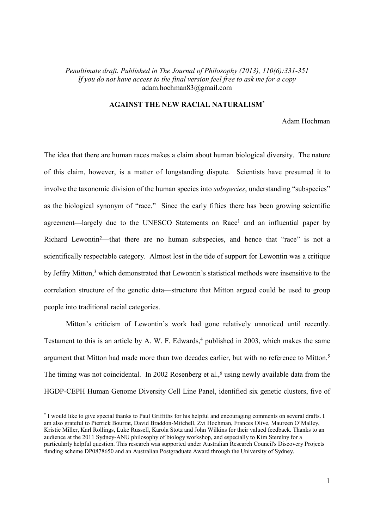# *Penultimate draft. Published in The Journal of Philosophy (2013), 110(6):331-351 If you do not have access to the final version feel free to ask me for a copy*  adam.hochman83@gmail.com

## **AGAINST THE NEW RACIAL NATURALISM\***

## Adam Hochman

The idea that there are human races makes a claim about human biological diversity. The nature of this claim, however, is a matter of longstanding dispute. Scientists have presumed it to involve the taxonomic division of the human species into *subspecies*, understanding "subspecies" as the biological synonym of "race." Since the early fifties there has been growing scientific agreement—largely due to the UNESCO Statements on Race<sup>1</sup> and an influential paper by Richard Lewontin<sup>2</sup>—that there are no human subspecies, and hence that "race" is not a scientifically respectable category. Almost lost in the tide of support for Lewontin was a critique by Jeffry Mitton,<sup>3</sup> which demonstrated that Lewontin's statistical methods were insensitive to the correlation structure of the genetic data—structure that Mitton argued could be used to group people into traditional racial categories.

Mitton's criticism of Lewontin's work had gone relatively unnoticed until recently. Testament to this is an article by A. W. F. Edwards,<sup>4</sup> published in 2003, which makes the same argument that Mitton had made more than two decades earlier, but with no reference to Mitton.<sup>5</sup> The timing was not coincidental. In 2002 Rosenberg et al.,<sup>6</sup> using newly available data from the HGDP-CEPH Human Genome Diversity Cell Line Panel, identified six genetic clusters, five of

-

<sup>\*</sup> I would like to give special thanks to Paul Griffiths for his helpful and encouraging comments on several drafts. I am also grateful to Pierrick Bourrat, David Braddon-Mitchell, Zvi Hochman, Frances Olive, Maureen O'Malley, Kristie Miller, Karl Rollings, Luke Russell, Karola Stotz and John Wilkins for their valued feedback. Thanks to an audience at the 2011 Sydney-ANU philosophy of biology workshop, and especially to Kim Sterelny for a particularly helpful question. This research was supported under Australian Research Council's Discovery Projects funding scheme DP0878650 and an Australian Postgraduate Award through the University of Sydney.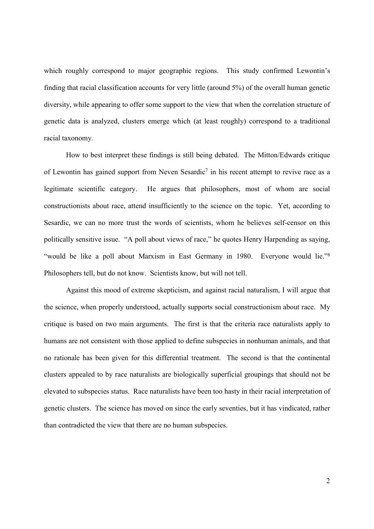which roughly correspond to major geographic regions. This study confirmed Lewontin's finding that racial classification accounts for very little (around 5%) of the overall human genetic diversity, while appearing to offer some support to the view that when the correlation structure of genetic data is analyzed, clusters emerge which (at least roughly) correspond to a traditional racial taxonomy.

How to best interpret these findings is still being debated. The Mitton/Edwards critique of Lewontin has gained support from Neven Sesardic<sup>7</sup> in his recent attempt to revive race as a legitimate scientific category. He argues that philosophers, most of whom are social constructionists about race, attend insufficiently to the science on the topic. Yet, according to Sesardic, we can no more trust the words of scientists, whom he believes self-censor on this politically sensitive issue. "A poll about views of race," he quotes Henry Harpending as saying, "would be like a poll about Marxism in East Germany in 1980. Everyone would lie."<sup>8</sup> Philosophers tell, but do not know. Scientists know, but will not tell.

Against this mood of extreme skepticism, and against racial naturalism, I will argue that the science, when properly understood, actually supports social constructionism about race. My critique is based on two main arguments. The first is that the criteria race naturalists apply to humans are not consistent with those applied to define subspecies in nonhuman animals, and that no rationale has been given for this differential treatment. The second is that the continental clusters appealed to by race naturalists are biologically superficial groupings that should not be elevated to subspecies status. Race naturalists have been too hasty in their racial interpretation of genetic clusters. The science has moved on since the early seventies, but it has vindicated, rather than contradicted the view that there are no human subspecies.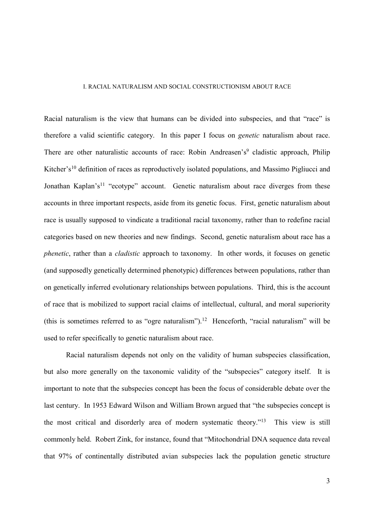## I. RACIAL NATURALISM AND SOCIAL CONSTRUCTIONISM ABOUT RACE

Racial naturalism is the view that humans can be divided into subspecies, and that "race" is therefore a valid scientific category. In this paper I focus on *genetic* naturalism about race. There are other naturalistic accounts of race: Robin Andreasen's<sup>9</sup> cladistic approach, Philip Kitcher's<sup>10</sup> definition of races as reproductively isolated populations, and Massimo Pigliucci and Jonathan Kaplan's<sup>11</sup> "ecotype" account. Genetic naturalism about race diverges from these accounts in three important respects, aside from its genetic focus. First, genetic naturalism about race is usually supposed to vindicate a traditional racial taxonomy, rather than to redefine racial categories based on new theories and new findings. Second, genetic naturalism about race has a *phenetic*, rather than a *cladistic* approach to taxonomy. In other words, it focuses on genetic (and supposedly genetically determined phenotypic) differences between populations, rather than on genetically inferred evolutionary relationships between populations. Third, this is the account of race that is mobilized to support racial claims of intellectual, cultural, and moral superiority (this is sometimes referred to as "ogre naturalism").<sup>12</sup> Henceforth, "racial naturalism" will be used to refer specifically to genetic naturalism about race.

Racial naturalism depends not only on the validity of human subspecies classification, but also more generally on the taxonomic validity of the "subspecies" category itself. It is important to note that the subspecies concept has been the focus of considerable debate over the last century. In 1953 Edward Wilson and William Brown argued that "the subspecies concept is the most critical and disorderly area of modern systematic theory."<sup>13</sup> This view is still commonly held. Robert Zink, for instance, found that "Mitochondrial DNA sequence data reveal that 97% of continentally distributed avian subspecies lack the population genetic structure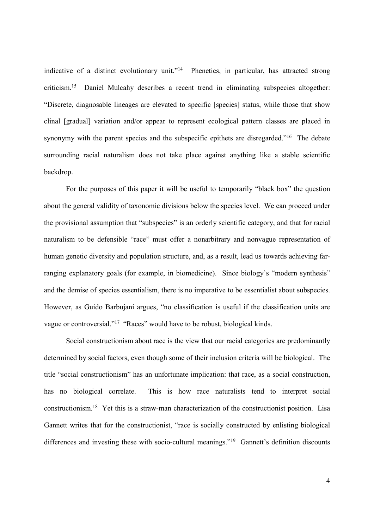indicative of a distinct evolutionary unit."<sup>14</sup> Phenetics, in particular, has attracted strong criticism.<sup>15</sup> Daniel Mulcahy describes a recent trend in eliminating subspecies altogether: "Discrete, diagnosable lineages are elevated to specific [species] status, while those that show clinal [gradual] variation and/or appear to represent ecological pattern classes are placed in synonymy with the parent species and the subspecific epithets are disregarded."<sup>16</sup> The debate surrounding racial naturalism does not take place against anything like a stable scientific backdrop.

For the purposes of this paper it will be useful to temporarily "black box" the question about the general validity of taxonomic divisions below the species level. We can proceed under the provisional assumption that "subspecies" is an orderly scientific category, and that for racial naturalism to be defensible "race" must offer a nonarbitrary and nonvague representation of human genetic diversity and population structure, and, as a result, lead us towards achieving farranging explanatory goals (for example, in biomedicine). Since biology's "modern synthesis" and the demise of species essentialism, there is no imperative to be essentialist about subspecies. However, as Guido Barbujani argues, "no classification is useful if the classification units are vague or controversial."<sup>17</sup> "Races" would have to be robust, biological kinds.

Social constructionism about race is the view that our racial categories are predominantly determined by social factors, even though some of their inclusion criteria will be biological. The title "social constructionism" has an unfortunate implication: that race, as a social construction, has no biological correlate. This is how race naturalists tend to interpret social constructionism.<sup>18</sup> Yet this is a straw-man characterization of the constructionist position. Lisa Gannett writes that for the constructionist, "race is socially constructed by enlisting biological differences and investing these with socio-cultural meanings."<sup>19</sup> Gannett's definition discounts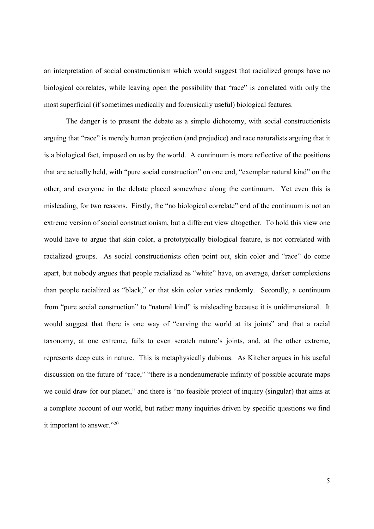an interpretation of social constructionism which would suggest that racialized groups have no biological correlates, while leaving open the possibility that "race" is correlated with only the most superficial (if sometimes medically and forensically useful) biological features.

The danger is to present the debate as a simple dichotomy, with social constructionists arguing that "race" is merely human projection (and prejudice) and race naturalists arguing that it is a biological fact, imposed on us by the world. A continuum is more reflective of the positions that are actually held, with "pure social construction" on one end, "exemplar natural kind" on the other, and everyone in the debate placed somewhere along the continuum. Yet even this is misleading, for two reasons. Firstly, the "no biological correlate" end of the continuum is not an extreme version of social constructionism, but a different view altogether. To hold this view one would have to argue that skin color, a prototypically biological feature, is not correlated with racialized groups. As social constructionists often point out, skin color and "race" do come apart, but nobody argues that people racialized as "white" have, on average, darker complexions than people racialized as "black," or that skin color varies randomly. Secondly, a continuum from "pure social construction" to "natural kind" is misleading because it is unidimensional. It would suggest that there is one way of "carving the world at its joints" and that a racial taxonomy, at one extreme, fails to even scratch nature's joints, and, at the other extreme, represents deep cuts in nature. This is metaphysically dubious. As Kitcher argues in his useful discussion on the future of "race," "there is a nondenumerable infinity of possible accurate maps we could draw for our planet," and there is "no feasible project of inquiry (singular) that aims at a complete account of our world, but rather many inquiries driven by specific questions we find it important to answer."<sup>20</sup>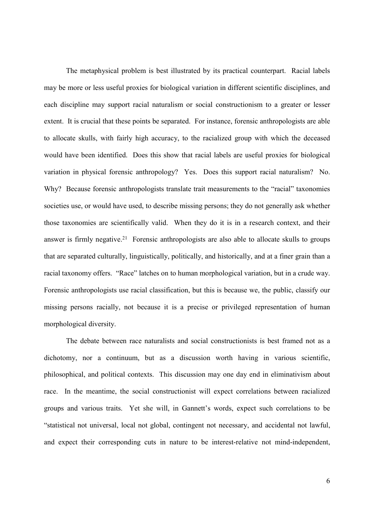The metaphysical problem is best illustrated by its practical counterpart. Racial labels may be more or less useful proxies for biological variation in different scientific disciplines, and each discipline may support racial naturalism or social constructionism to a greater or lesser extent. It is crucial that these points be separated. For instance, forensic anthropologists are able to allocate skulls, with fairly high accuracy, to the racialized group with which the deceased would have been identified. Does this show that racial labels are useful proxies for biological variation in physical forensic anthropology? Yes. Does this support racial naturalism? No. Why? Because forensic anthropologists translate trait measurements to the "racial" taxonomies societies use, or would have used, to describe missing persons; they do not generally ask whether those taxonomies are scientifically valid. When they do it is in a research context, and their answer is firmly negative.<sup>21</sup> Forensic anthropologists are also able to allocate skulls to groups that are separated culturally, linguistically, politically, and historically, and at a finer grain than a racial taxonomy offers. "Race" latches on to human morphological variation, but in a crude way. Forensic anthropologists use racial classification, but this is because we, the public, classify our missing persons racially, not because it is a precise or privileged representation of human morphological diversity.

The debate between race naturalists and social constructionists is best framed not as a dichotomy, nor a continuum, but as a discussion worth having in various scientific, philosophical, and political contexts. This discussion may one day end in eliminativism about race. In the meantime, the social constructionist will expect correlations between racialized groups and various traits. Yet she will, in Gannett's words, expect such correlations to be "statistical not universal, local not global, contingent not necessary, and accidental not lawful, and expect their corresponding cuts in nature to be interest-relative not mind-independent,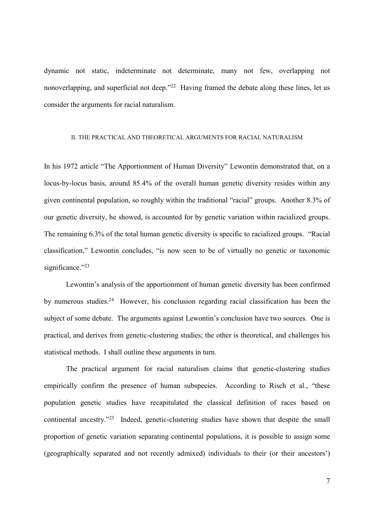dynamic not static, indeterminate not determinate, many not few, overlapping not nonoverlapping, and superficial not deep."<sup>22</sup> Having framed the debate along these lines, let us consider the arguments for racial naturalism.

### II. THE PRACTICAL AND THEORETICAL ARGUMENTS FOR RACIAL NATURALISM

In his 1972 article "The Apportionment of Human Diversity" Lewontin demonstrated that, on a locus-by-locus basis, around 85.4% of the overall human genetic diversity resides within any given continental population, so roughly within the traditional "racial" groups. Another 8.3% of our genetic diversity, he showed, is accounted for by genetic variation within racialized groups. The remaining 6.3% of the total human genetic diversity is specific to racialized groups. "Racial classification," Lewontin concludes, "is now seen to be of virtually no genetic or taxonomic significance."23

Lewontin's analysis of the apportionment of human genetic diversity has been confirmed by numerous studies.<sup>24</sup> However, his conclusion regarding racial classification has been the subject of some debate. The arguments against Lewontin's conclusion have two sources. One is practical, and derives from genetic-clustering studies; the other is theoretical, and challenges his statistical methods. I shall outline these arguments in turn.

The practical argument for racial naturalism claims that genetic-clustering studies empirically confirm the presence of human subspecies. According to Risch et al., "these population genetic studies have recapitulated the classical definition of races based on continental ancestry."<sup>25</sup> Indeed, genetic-clustering studies have shown that despite the small proportion of genetic variation separating continental populations, it is possible to assign some (geographically separated and not recently admixed) individuals to their (or their ancestors')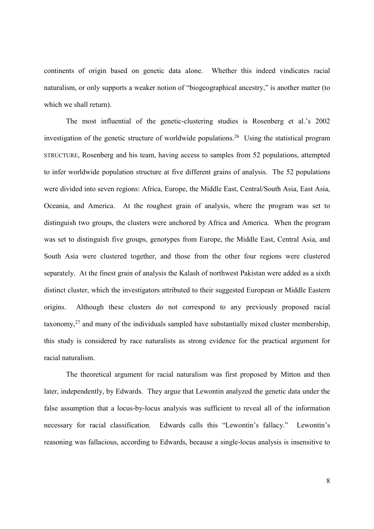continents of origin based on genetic data alone. Whether this indeed vindicates racial naturalism, or only supports a weaker notion of "biogeographical ancestry," is another matter (to which we shall return).

The most influential of the genetic-clustering studies is Rosenberg et al.'s 2002 investigation of the genetic structure of worldwide populations.<sup>26</sup> Using the statistical program STRUCTURE, Rosenberg and his team, having access to samples from 52 populations, attempted to infer worldwide population structure at five different grains of analysis. The 52 populations were divided into seven regions: Africa, Europe, the Middle East, Central/South Asia, East Asia, Oceania, and America. At the roughest grain of analysis, where the program was set to distinguish two groups, the clusters were anchored by Africa and America. When the program was set to distinguish five groups, genotypes from Europe, the Middle East, Central Asia, and South Asia were clustered together, and those from the other four regions were clustered separately. At the finest grain of analysis the Kalash of northwest Pakistan were added as a sixth distinct cluster, which the investigators attributed to their suggested European or Middle Eastern origins. Although these clusters do not correspond to any previously proposed racial taxonomy, $27$  and many of the individuals sampled have substantially mixed cluster membership, this study is considered by race naturalists as strong evidence for the practical argument for racial naturalism.

The theoretical argument for racial naturalism was first proposed by Mitton and then later, independently, by Edwards. They argue that Lewontin analyzed the genetic data under the false assumption that a locus-by-locus analysis was sufficient to reveal all of the information necessary for racial classification. Edwards calls this "Lewontin's fallacy." Lewontin's reasoning was fallacious, according to Edwards, because a single-locus analysis is insensitive to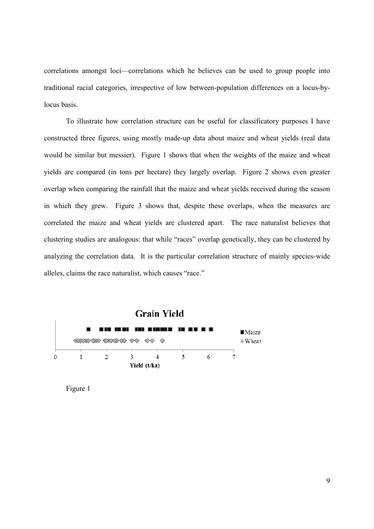correlations amongst loci—correlations which he believes can be used to group people into traditional racial categories, irrespective of low between-population differences on a locus-bylocus basis.

To illustrate how correlation structure can be useful for classificatory purposes I have constructed three figures, using mostly made-up data about maize and wheat yields (real data would be similar but messier). Figure 1 shows that when the weights of the maize and wheat yields are compared (in tons per hectare) they largely overlap. Figure 2 shows even greater overlap when comparing the rainfall that the maize and wheat yields received during the season in which they grew. Figure 3 shows that, despite these overlaps, when the measures are correlated the maize and wheat yields are clustered apart. The race naturalist believes that clustering studies are analogous: that while "races" overlap genetically, they can be clustered by analyzing the correlation data. It is the particular correlation structure of mainly species-wide alleles, claims the race naturalist, which causes "race."



Figure 1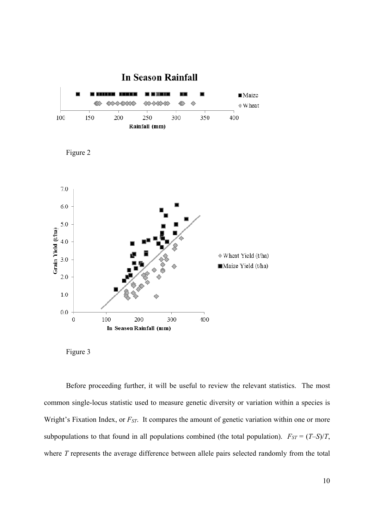





Figure 3

Before proceeding further, it will be useful to review the relevant statistics. The most common single-locus statistic used to measure genetic diversity or variation within a species is Wright's Fixation Index, or  $F_{ST}$ . It compares the amount of genetic variation within one or more subpopulations to that found in all populations combined (the total population).  $F_{ST} = (T - S)/T$ , where *T* represents the average difference between allele pairs selected randomly from the total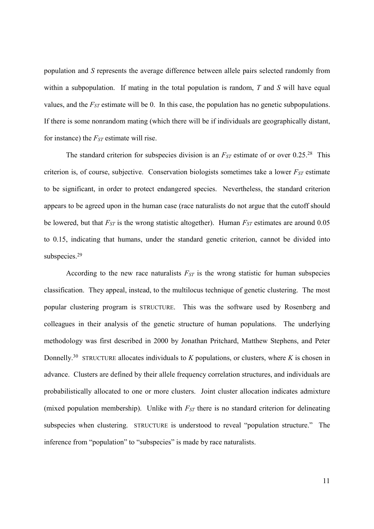population and *S* represents the average difference between allele pairs selected randomly from within a subpopulation. If mating in the total population is random, *T* and *S* will have equal values, and the *FST* estimate will be 0. In this case, the population has no genetic subpopulations. If there is some nonrandom mating (which there will be if individuals are geographically distant, for instance) the *FST* estimate will rise.

The standard criterion for subspecies division is an *FST* estimate of or over 0.25.<sup>28</sup> This criterion is, of course, subjective. Conservation biologists sometimes take a lower *FST* estimate to be significant, in order to protect endangered species. Nevertheless, the standard criterion appears to be agreed upon in the human case (race naturalists do not argue that the cutoff should be lowered, but that *FST* is the wrong statistic altogether). Human *FST* estimates are around 0.05 to 0.15, indicating that humans, under the standard genetic criterion, cannot be divided into subspecies.<sup>29</sup>

According to the new race naturalists *FST* is the wrong statistic for human subspecies classification. They appeal, instead, to the multilocus technique of genetic clustering. The most popular clustering program is STRUCTURE. This was the software used by Rosenberg and colleagues in their analysis of the genetic structure of human populations. The underlying methodology was first described in 2000 by Jonathan Pritchard, Matthew Stephens, and Peter Donnelly.<sup>30</sup> STRUCTURE allocates individuals to  $K$  populations, or clusters, where  $K$  is chosen in advance. Clusters are defined by their allele frequency correlation structures, and individuals are probabilistically allocated to one or more clusters. Joint cluster allocation indicates admixture (mixed population membership). Unlike with *FST* there is no standard criterion for delineating subspecies when clustering. STRUCTURE is understood to reveal "population structure." The inference from "population" to "subspecies" is made by race naturalists.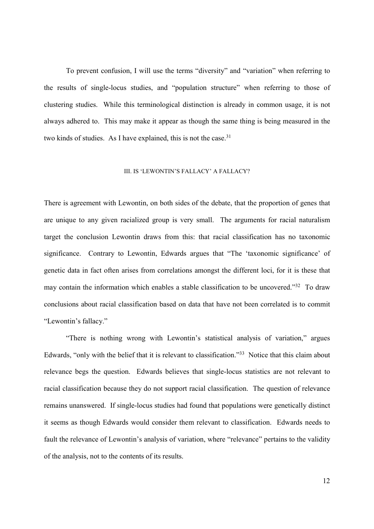To prevent confusion, I will use the terms "diversity" and "variation" when referring to the results of single-locus studies, and "population structure" when referring to those of clustering studies. While this terminological distinction is already in common usage, it is not always adhered to. This may make it appear as though the same thing is being measured in the two kinds of studies. As I have explained, this is not the case.<sup>31</sup>

### III. IS 'LEWONTIN'S FALLACY' A FALLACY?

There is agreement with Lewontin, on both sides of the debate, that the proportion of genes that are unique to any given racialized group is very small. The arguments for racial naturalism target the conclusion Lewontin draws from this: that racial classification has no taxonomic significance. Contrary to Lewontin, Edwards argues that "The 'taxonomic significance' of genetic data in fact often arises from correlations amongst the different loci, for it is these that may contain the information which enables a stable classification to be uncovered."<sup>32</sup> To draw conclusions about racial classification based on data that have not been correlated is to commit "Lewontin's fallacy."

"There is nothing wrong with Lewontin's statistical analysis of variation," argues Edwards, "only with the belief that it is relevant to classification."<sup>33</sup> Notice that this claim about relevance begs the question. Edwards believes that single-locus statistics are not relevant to racial classification because they do not support racial classification. The question of relevance remains unanswered. If single-locus studies had found that populations were genetically distinct it seems as though Edwards would consider them relevant to classification. Edwards needs to fault the relevance of Lewontin's analysis of variation, where "relevance" pertains to the validity of the analysis, not to the contents of its results.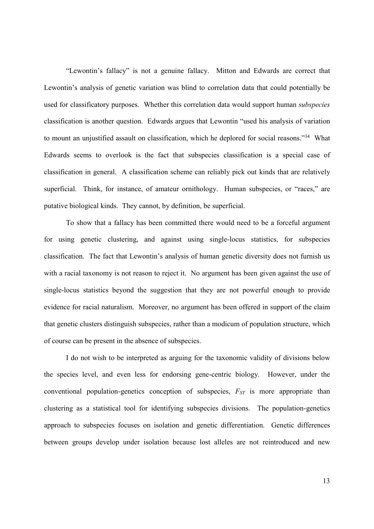"Lewontin's fallacy" is not a genuine fallacy. Mitton and Edwards are correct that Lewontin's analysis of genetic variation was blind to correlation data that could potentially be used for classificatory purposes. Whether this correlation data would support human *subspecies* classification is another question. Edwards argues that Lewontin "used his analysis of variation to mount an unjustified assault on classification, which he deplored for social reasons."<sup>34</sup> What Edwards seems to overlook is the fact that subspecies classification is a special case of classification in general. A classification scheme can reliably pick out kinds that are relatively superficial. Think, for instance, of amateur ornithology. Human subspecies, or "races," are putative biological kinds. They cannot, by definition, be superficial.

To show that a fallacy has been committed there would need to be a forceful argument for using genetic clustering, and against using single-locus statistics, for subspecies classification. The fact that Lewontin's analysis of human genetic diversity does not furnish us with a racial taxonomy is not reason to reject it. No argument has been given against the use of single-locus statistics beyond the suggestion that they are not powerful enough to provide evidence for racial naturalism. Moreover, no argument has been offered in support of the claim that genetic clusters distinguish subspecies, rather than a modicum of population structure, which of course can be present in the absence of subspecies.

I do not wish to be interpreted as arguing for the taxonomic validity of divisions below the species level, and even less for endorsing gene-centric biology. However, under the conventional population-genetics conception of subspecies, *FST* is more appropriate than clustering as a statistical tool for identifying subspecies divisions. The population-genetics approach to subspecies focuses on isolation and genetic differentiation. Genetic differences between groups develop under isolation because lost alleles are not reintroduced and new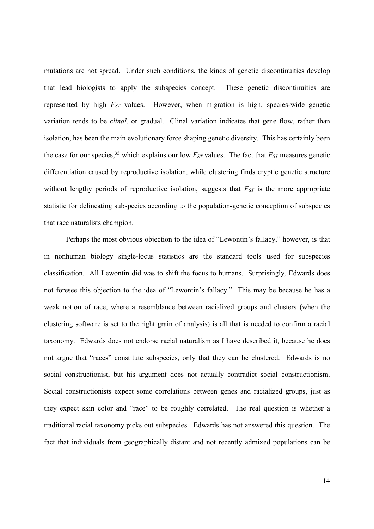mutations are not spread. Under such conditions, the kinds of genetic discontinuities develop that lead biologists to apply the subspecies concept. These genetic discontinuities are represented by high *FST* values. However, when migration is high, species-wide genetic variation tends to be *clinal*, or gradual. Clinal variation indicates that gene flow, rather than isolation, has been the main evolutionary force shaping genetic diversity. This has certainly been the case for our species,<sup>35</sup> which explains our low  $F_{ST}$  values. The fact that  $F_{ST}$  measures genetic differentiation caused by reproductive isolation, while clustering finds cryptic genetic structure without lengthy periods of reproductive isolation, suggests that  $F_{ST}$  is the more appropriate statistic for delineating subspecies according to the population-genetic conception of subspecies that race naturalists champion.

Perhaps the most obvious objection to the idea of "Lewontin's fallacy," however, is that in nonhuman biology single-locus statistics are the standard tools used for subspecies classification. All Lewontin did was to shift the focus to humans. Surprisingly, Edwards does not foresee this objection to the idea of "Lewontin's fallacy." This may be because he has a weak notion of race, where a resemblance between racialized groups and clusters (when the clustering software is set to the right grain of analysis) is all that is needed to confirm a racial taxonomy. Edwards does not endorse racial naturalism as I have described it, because he does not argue that "races" constitute subspecies, only that they can be clustered. Edwards is no social constructionist, but his argument does not actually contradict social constructionism. Social constructionists expect some correlations between genes and racialized groups, just as they expect skin color and "race" to be roughly correlated. The real question is whether a traditional racial taxonomy picks out subspecies. Edwards has not answered this question. The fact that individuals from geographically distant and not recently admixed populations can be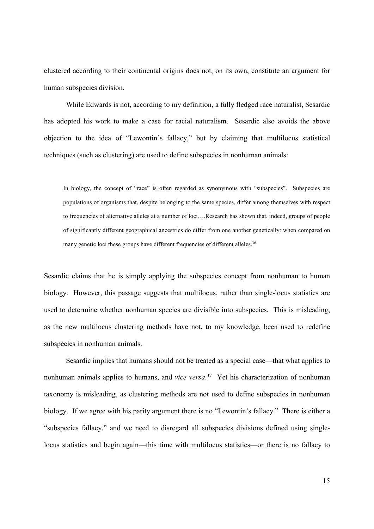clustered according to their continental origins does not, on its own, constitute an argument for human subspecies division.

While Edwards is not, according to my definition, a fully fledged race naturalist, Sesardic has adopted his work to make a case for racial naturalism. Sesardic also avoids the above objection to the idea of "Lewontin's fallacy," but by claiming that multilocus statistical techniques (such as clustering) are used to define subspecies in nonhuman animals:

In biology, the concept of "race" is often regarded as synonymous with "subspecies". Subspecies are populations of organisms that, despite belonging to the same species, differ among themselves with respect to frequencies of alternative alleles at a number of loci….Research has shown that, indeed, groups of people of significantly different geographical ancestries do differ from one another genetically: when compared on many genetic loci these groups have different frequencies of different alleles.<sup>36</sup>

Sesardic claims that he is simply applying the subspecies concept from nonhuman to human biology. However, this passage suggests that multilocus, rather than single-locus statistics are used to determine whether nonhuman species are divisible into subspecies. This is misleading, as the new multilocus clustering methods have not, to my knowledge, been used to redefine subspecies in nonhuman animals.

Sesardic implies that humans should not be treated as a special case—that what applies to nonhuman animals applies to humans, and *vice versa*. <sup>37</sup> Yet his characterization of nonhuman taxonomy is misleading, as clustering methods are not used to define subspecies in nonhuman biology. If we agree with his parity argument there is no "Lewontin's fallacy." There is either a "subspecies fallacy," and we need to disregard all subspecies divisions defined using singlelocus statistics and begin again—this time with multilocus statistics—or there is no fallacy to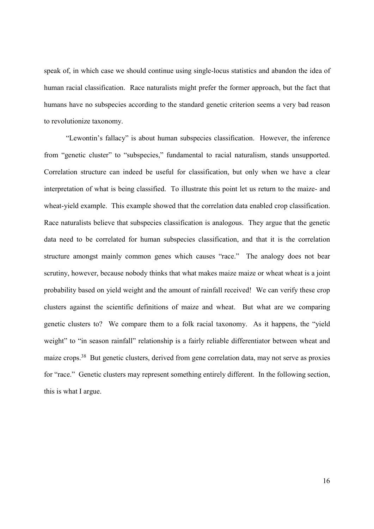speak of, in which case we should continue using single-locus statistics and abandon the idea of human racial classification. Race naturalists might prefer the former approach, but the fact that humans have no subspecies according to the standard genetic criterion seems a very bad reason to revolutionize taxonomy.

"Lewontin's fallacy" is about human subspecies classification. However, the inference from "genetic cluster" to "subspecies," fundamental to racial naturalism, stands unsupported. Correlation structure can indeed be useful for classification, but only when we have a clear interpretation of what is being classified. To illustrate this point let us return to the maize- and wheat-yield example. This example showed that the correlation data enabled crop classification. Race naturalists believe that subspecies classification is analogous. They argue that the genetic data need to be correlated for human subspecies classification, and that it is the correlation structure amongst mainly common genes which causes "race." The analogy does not bear scrutiny, however, because nobody thinks that what makes maize maize or wheat wheat is a joint probability based on yield weight and the amount of rainfall received! We can verify these crop clusters against the scientific definitions of maize and wheat. But what are we comparing genetic clusters to? We compare them to a folk racial taxonomy. As it happens, the "yield weight" to "in season rainfall" relationship is a fairly reliable differentiator between wheat and maize crops.<sup>38</sup> But genetic clusters, derived from gene correlation data, may not serve as proxies for "race." Genetic clusters may represent something entirely different. In the following section, this is what I argue.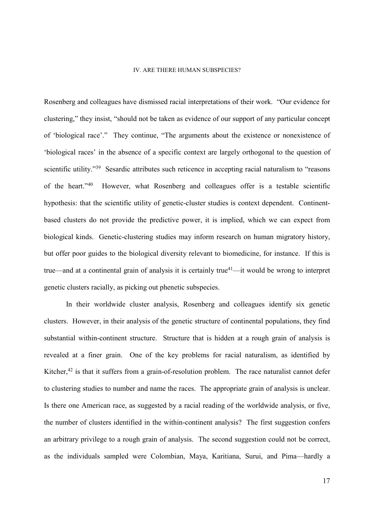#### IV. ARE THERE HUMAN SUBSPECIES?

Rosenberg and colleagues have dismissed racial interpretations of their work. "Our evidence for clustering," they insist, "should not be taken as evidence of our support of any particular concept of 'biological race'." They continue, "The arguments about the existence or nonexistence of 'biological races' in the absence of a specific context are largely orthogonal to the question of scientific utility."<sup>39</sup> Sesardic attributes such reticence in accepting racial naturalism to "reasons" of the heart."<sup>40</sup> However, what Rosenberg and colleagues offer is a testable scientific hypothesis: that the scientific utility of genetic-cluster studies is context dependent. Continentbased clusters do not provide the predictive power, it is implied, which we can expect from biological kinds. Genetic-clustering studies may inform research on human migratory history, but offer poor guides to the biological diversity relevant to biomedicine, for instance. If this is true—and at a continental grain of analysis it is certainly true<sup>41</sup>—it would be wrong to interpret genetic clusters racially, as picking out phenetic subspecies.

In their worldwide cluster analysis, Rosenberg and colleagues identify six genetic clusters. However, in their analysis of the genetic structure of continental populations, they find substantial within-continent structure. Structure that is hidden at a rough grain of analysis is revealed at a finer grain. One of the key problems for racial naturalism, as identified by Kitcher,<sup>42</sup> is that it suffers from a grain-of-resolution problem. The race naturalist cannot defer to clustering studies to number and name the races. The appropriate grain of analysis is unclear. Is there one American race, as suggested by a racial reading of the worldwide analysis, or five, the number of clusters identified in the within-continent analysis? The first suggestion confers an arbitrary privilege to a rough grain of analysis. The second suggestion could not be correct, as the individuals sampled were Colombian, Maya, Karitiana, Surui, and Pima—hardly a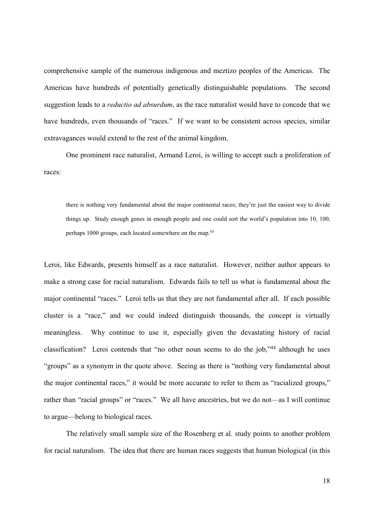comprehensive sample of the numerous indigenous and meztizo peoples of the Americas. The Americas have hundreds of potentially genetically distinguishable populations. The second suggestion leads to a *reductio ad absurdum*, as the race naturalist would have to concede that we have hundreds, even thousands of "races." If we want to be consistent across species, similar extravagances would extend to the rest of the animal kingdom.

One prominent race naturalist, Armand Leroi, is willing to accept such a proliferation of races:

there is nothing very fundamental about the major continental races; they're just the easiest way to divide things up. Study enough genes in enough people and one could sort the world's population into 10, 100, perhaps 1000 groups, each located somewhere on the map.<sup>43</sup>

Leroi, like Edwards, presents himself as a race naturalist. However, neither author appears to make a strong case for racial naturalism. Edwards fails to tell us what is fundamental about the major continental "races." Leroi tells us that they are not fundamental after all. If each possible cluster is a "race," and we could indeed distinguish thousands, the concept is virtually meaningless. Why continue to use it, especially given the devastating history of racial classification? Leroi contends that "no other noun seems to do the job,"<sup>44</sup> although he uses "groups" as a synonym in the quote above. Seeing as there is "nothing very fundamental about the major continental races," it would be more accurate to refer to them as "racialized groups," rather than "racial groups" or "races." We all have ancestries, but we do not—as I will continue to argue—belong to biological races.

The relatively small sample size of the Rosenberg et al. study points to another problem for racial naturalism. The idea that there are human races suggests that human biological (in this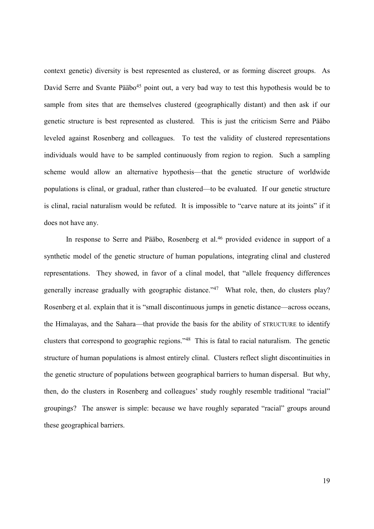context genetic) diversity is best represented as clustered, or as forming discreet groups. As David Serre and Svante Pääbo<sup>45</sup> point out, a very bad way to test this hypothesis would be to sample from sites that are themselves clustered (geographically distant) and then ask if our genetic structure is best represented as clustered. This is just the criticism Serre and Pääbo leveled against Rosenberg and colleagues. To test the validity of clustered representations individuals would have to be sampled continuously from region to region. Such a sampling scheme would allow an alternative hypothesis—that the genetic structure of worldwide populations is clinal, or gradual, rather than clustered—to be evaluated. If our genetic structure is clinal, racial naturalism would be refuted. It is impossible to "carve nature at its joints" if it does not have any.

In response to Serre and Pääbo, Rosenberg et al.<sup>46</sup> provided evidence in support of a synthetic model of the genetic structure of human populations, integrating clinal and clustered representations. They showed, in favor of a clinal model, that "allele frequency differences generally increase gradually with geographic distance."<sup>47</sup> What role, then, do clusters play? Rosenberg et al. explain that it is "small discontinuous jumps in genetic distance—across oceans, the Himalayas, and the Sahara—that provide the basis for the ability of STRUCTURE to identify clusters that correspond to geographic regions."<sup>48</sup> This is fatal to racial naturalism. The genetic structure of human populations is almost entirely clinal. Clusters reflect slight discontinuities in the genetic structure of populations between geographical barriers to human dispersal. But why, then, do the clusters in Rosenberg and colleagues' study roughly resemble traditional "racial" groupings? The answer is simple: because we have roughly separated "racial" groups around these geographical barriers.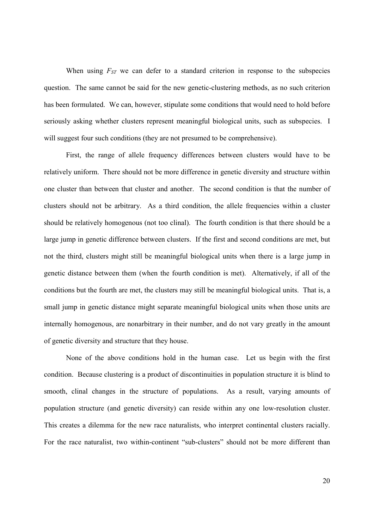When using  $F_{ST}$  we can defer to a standard criterion in response to the subspecies question. The same cannot be said for the new genetic-clustering methods, as no such criterion has been formulated. We can, however, stipulate some conditions that would need to hold before seriously asking whether clusters represent meaningful biological units, such as subspecies. I will suggest four such conditions (they are not presumed to be comprehensive).

First, the range of allele frequency differences between clusters would have to be relatively uniform. There should not be more difference in genetic diversity and structure within one cluster than between that cluster and another. The second condition is that the number of clusters should not be arbitrary. As a third condition, the allele frequencies within a cluster should be relatively homogenous (not too clinal). The fourth condition is that there should be a large jump in genetic difference between clusters. If the first and second conditions are met, but not the third, clusters might still be meaningful biological units when there is a large jump in genetic distance between them (when the fourth condition is met). Alternatively, if all of the conditions but the fourth are met, the clusters may still be meaningful biological units. That is, a small jump in genetic distance might separate meaningful biological units when those units are internally homogenous, are nonarbitrary in their number, and do not vary greatly in the amount of genetic diversity and structure that they house.

None of the above conditions hold in the human case. Let us begin with the first condition. Because clustering is a product of discontinuities in population structure it is blind to smooth, clinal changes in the structure of populations. As a result, varying amounts of population structure (and genetic diversity) can reside within any one low-resolution cluster. This creates a dilemma for the new race naturalists, who interpret continental clusters racially. For the race naturalist, two within-continent "sub-clusters" should not be more different than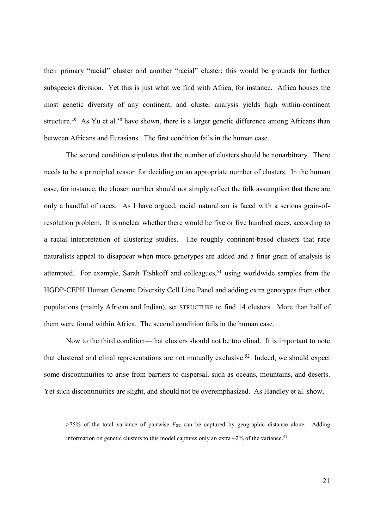their primary "racial" cluster and another "racial" cluster; this would be grounds for further subspecies division. Yet this is just what we find with Africa, for instance. Africa houses the most genetic diversity of any continent, and cluster analysis yields high within-continent structure.<sup>49</sup> As Yu et al.<sup>50</sup> have shown, there is a larger genetic difference among Africans than between Africans and Eurasians. The first condition fails in the human case.

The second condition stipulates that the number of clusters should be nonarbitrary. There needs to be a principled reason for deciding on an appropriate number of clusters. In the human case, for instance, the chosen number should not simply reflect the folk assumption that there are only a handful of races. As I have argued, racial naturalism is faced with a serious grain-ofresolution problem. It is unclear whether there would be five or five hundred races, according to a racial interpretation of clustering studies. The roughly continent-based clusters that race naturalists appeal to disappear when more genotypes are added and a finer grain of analysis is attempted. For example, Sarah Tishkoff and colleagues,<sup>51</sup> using worldwide samples from the HGDP-CEPH Human Genome Diversity Cell Line Panel and adding extra genotypes from other populations (mainly African and Indian), set STRUCTURE to find 14 clusters. More than half of them were found within Africa. The second condition fails in the human case.

Now to the third condition—that clusters should not be too clinal. It is important to note that clustered and clinal representations are not mutually exclusive.<sup>52</sup> Indeed, we should expect some discontinuities to arise from barriers to dispersal, such as oceans, mountains, and deserts. Yet such discontinuities are slight, and should not be overemphasized. As Handley et al. show,

 $>75\%$  of the total variance of pairwise  $F_{ST}$  can be captured by geographic distance alone. Adding information on genetic clusters to this model captures only an extra  $\sim$ 2% of the variance.<sup>53</sup>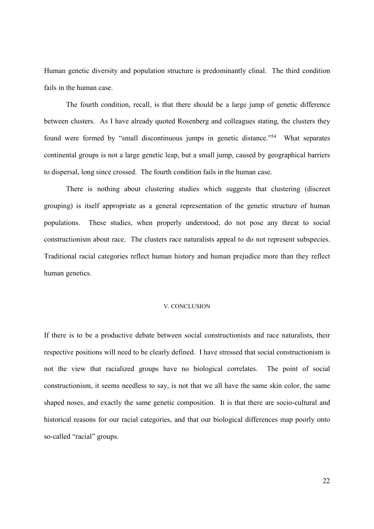Human genetic diversity and population structure is predominantly clinal. The third condition fails in the human case.

The fourth condition, recall, is that there should be a large jump of genetic difference between clusters. As I have already quoted Rosenberg and colleagues stating, the clusters they found were formed by "small discontinuous jumps in genetic distance."<sup>54</sup> What separates continental groups is not a large genetic leap, but a small jump, caused by geographical barriers to dispersal, long since crossed. The fourth condition fails in the human case.

There is nothing about clustering studies which suggests that clustering (discreet grouping) is itself appropriate as a general representation of the genetic structure of human populations. These studies, when properly understood, do not pose any threat to social constructionism about race. The clusters race naturalists appeal to do not represent subspecies. Traditional racial categories reflect human history and human prejudice more than they reflect human genetics.

## V. CONCLUSION

If there is to be a productive debate between social constructionists and race naturalists, their respective positions will need to be clearly defined. I have stressed that social constructionism is not the view that racialized groups have no biological correlates. The point of social constructionism, it seems needless to say, is not that we all have the same skin color, the same shaped noses, and exactly the same genetic composition. It is that there are socio-cultural and historical reasons for our racial categories, and that our biological differences map poorly onto so-called "racial" groups.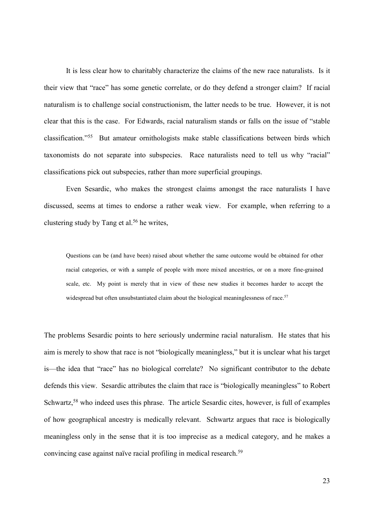It is less clear how to charitably characterize the claims of the new race naturalists. Is it their view that "race" has some genetic correlate, or do they defend a stronger claim? If racial naturalism is to challenge social constructionism, the latter needs to be true. However, it is not clear that this is the case. For Edwards, racial naturalism stands or falls on the issue of "stable classification."<sup>55</sup> But amateur ornithologists make stable classifications between birds which taxonomists do not separate into subspecies. Race naturalists need to tell us why "racial" classifications pick out subspecies, rather than more superficial groupings.

Even Sesardic, who makes the strongest claims amongst the race naturalists I have discussed, seems at times to endorse a rather weak view. For example, when referring to a clustering study by Tang et al.<sup>56</sup> he writes,

Questions can be (and have been) raised about whether the same outcome would be obtained for other racial categories, or with a sample of people with more mixed ancestries, or on a more fine-grained scale, etc. My point is merely that in view of these new studies it becomes harder to accept the widespread but often unsubstantiated claim about the biological meaninglessness of race.<sup>57</sup>

The problems Sesardic points to here seriously undermine racial naturalism. He states that his aim is merely to show that race is not "biologically meaningless," but it is unclear what his target is—the idea that "race" has no biological correlate? No significant contributor to the debate defends this view. Sesardic attributes the claim that race is "biologically meaningless" to Robert Schwartz,<sup>58</sup> who indeed uses this phrase. The article Sesardic cites, however, is full of examples of how geographical ancestry is medically relevant. Schwartz argues that race is biologically meaningless only in the sense that it is too imprecise as a medical category, and he makes a convincing case against naïve racial profiling in medical research.<sup>59</sup>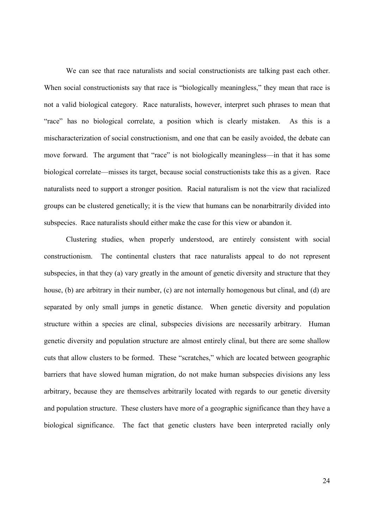We can see that race naturalists and social constructionists are talking past each other. When social constructionists say that race is "biologically meaningless," they mean that race is not a valid biological category. Race naturalists, however, interpret such phrases to mean that "race" has no biological correlate, a position which is clearly mistaken. As this is a mischaracterization of social constructionism, and one that can be easily avoided, the debate can move forward. The argument that "race" is not biologically meaningless—in that it has some biological correlate—misses its target, because social constructionists take this as a given. Race naturalists need to support a stronger position. Racial naturalism is not the view that racialized groups can be clustered genetically; it is the view that humans can be nonarbitrarily divided into subspecies. Race naturalists should either make the case for this view or abandon it.

Clustering studies, when properly understood, are entirely consistent with social constructionism. The continental clusters that race naturalists appeal to do not represent subspecies, in that they (a) vary greatly in the amount of genetic diversity and structure that they house, (b) are arbitrary in their number, (c) are not internally homogenous but clinal, and (d) are separated by only small jumps in genetic distance. When genetic diversity and population structure within a species are clinal, subspecies divisions are necessarily arbitrary. Human genetic diversity and population structure are almost entirely clinal, but there are some shallow cuts that allow clusters to be formed. These "scratches," which are located between geographic barriers that have slowed human migration, do not make human subspecies divisions any less arbitrary, because they are themselves arbitrarily located with regards to our genetic diversity and population structure. These clusters have more of a geographic significance than they have a biological significance. The fact that genetic clusters have been interpreted racially only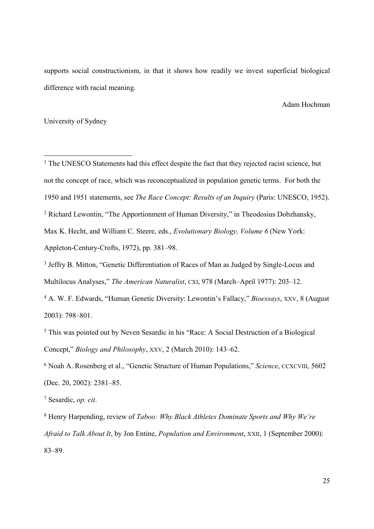supports social constructionism, in that it shows how readily we invest superficial biological difference with racial meaning.

Adam Hochman

University of Sydney

-

<sup>1</sup> The UNESCO Statements had this effect despite the fact that they rejected racist science, but not the concept of race, which was reconceptualized in population genetic terms. For both the 1950 and 1951 statements, see *The Race Concept: Results of an Inquiry* (Paris: UNESCO, 1952). <sup>2</sup> Richard Lewontin, "The Apportionment of Human Diversity," in Theodosius Dobzhansky, Max K. Hecht, and William C. Steere, eds., *Evolutionary Biology, Volume 6* (New York: Appleton-Century-Crofts, 1972), pp. 381–98.

<sup>3</sup> Jeffry B. Mitton, "Genetic Differentiation of Races of Man as Judged by Single-Locus and Multilocus Analyses," *The American Naturalist*, CXI, 978 (March–April 1977): 203–12.

4 A. W. F. Edwards, "Human Genetic Diversity: Lewontin's Fallacy," *Bioessays*, XXV, 8 (August 2003): 798–801.

<sup>5</sup> This was pointed out by Neven Sesardic in his "Race: A Social Destruction of a Biological Concept," *Biology and Philosophy*, XXV, 2 (March 2010): 143–62.

6 Noah A. Rosenberg et al., "Genetic Structure of Human Populations," *Science*, CCXCVIII, 5602 (Dec. 20, 2002): 2381–85.

7 Sesardic, *op. cit*.

8 Henry Harpending, review of *Taboo: Why Black Athletes Dominate Sports and Why We're Afraid to Talk About It*, by Jon Entine, *Population and Environment*, XXII, 1 (September 2000): 83–89.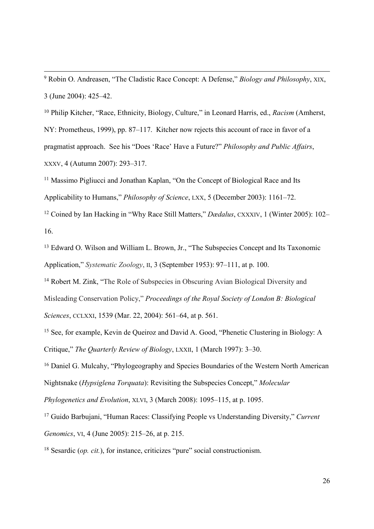9 Robin O. Andreasen, "The Cladistic Race Concept: A Defense," *Biology and Philosophy*, XIX, 3 (June 2004): 425–42.

-

<sup>10</sup> Philip Kitcher, "Race, Ethnicity, Biology, Culture," in Leonard Harris, ed., *Racism* (Amherst, NY: Prometheus, 1999), pp. 87–117. Kitcher now rejects this account of race in favor of a pragmatist approach. See his "Does 'Race' Have a Future?" *Philosophy and Public Affairs*, XXXV, 4 (Autumn 2007): 293–317.

<sup>11</sup> Massimo Pigliucci and Jonathan Kaplan, "On the Concept of Biological Race and Its Applicability to Humans," *Philosophy of Science*, LXX, 5 (December 2003): 1161–72.

<sup>12</sup> Coined by Ian Hacking in "Why Race Still Matters," *Dædalus*, CXXXIV, 1 (Winter 2005): 102– 16.

<sup>13</sup> Edward O. Wilson and William L. Brown, Jr., "The Subspecies Concept and Its Taxonomic Application," *Systematic Zoology*, II, 3 (September 1953): 97–111, at p. 100.

<sup>14</sup> Robert M. Zink, "The Role of Subspecies in Obscuring Avian Biological Diversity and Misleading Conservation Policy," *Proceedings of the Royal Society of London B: Biological Sciences*, CCLXXI, 1539 (Mar. 22, 2004): 561–64, at p. 561.

<sup>15</sup> See, for example, Kevin de Oueiroz and David A. Good, "Phenetic Clustering in Biology: A Critique," *The Quarterly Review of Biology*, LXXII, 1 (March 1997): 3–30.

<sup>16</sup> Daniel G. Mulcahy, "Phylogeography and Species Boundaries of the Western North American Nightsnake (*Hypsiglena Torquata*): Revisiting the Subspecies Concept," *Molecular* 

*Phylogenetics and Evolution*, XLVI, 3 (March 2008): 1095–115, at p. 1095.

<sup>17</sup> Guido Barbujani, "Human Races: Classifying People vs Understanding Diversity," *Current Genomics*, VI, 4 (June 2005): 215–26, at p. 215.

18 Sesardic (*op. cit.*), for instance, criticizes "pure" social constructionism.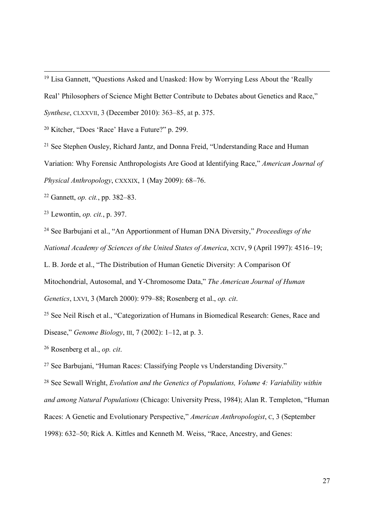<sup>19</sup> Lisa Gannett, "Questions Asked and Unasked: How by Worrying Less About the 'Really

Real' Philosophers of Science Might Better Contribute to Debates about Genetics and Race,"

*Synthese*, CLXXVII, 3 (December 2010): 363–85, at p. 375.

<sup>20</sup> Kitcher, "Does 'Race' Have a Future?" p. 299.

<sup>21</sup> See Stephen Ousley, Richard Jantz, and Donna Freid, "Understanding Race and Human Variation: Why Forensic Anthropologists Are Good at Identifying Race," *American Journal of Physical Anthropology*, CXXXIX, 1 (May 2009): 68–76.

<sup>22</sup> Gannett, *op. cit.*, pp. 382–83.

<sup>23</sup> Lewontin, *op. cit.*, p. 397.

-

<sup>24</sup> See Barbujani et al., "An Apportionment of Human DNA Diversity," *Proceedings of the National Academy of Sciences of the United States of America*, XCIV, 9 (April 1997): 4516–19;

L. B. Jorde et al., "The Distribution of Human Genetic Diversity: A Comparison Of

Mitochondrial, Autosomal, and Y-Chromosome Data," *The American Journal of Human* 

*Genetics*, LXVI, 3 (March 2000): 979–88; Rosenberg et al., *op. cit*.

<sup>25</sup> See Neil Risch et al., "Categorization of Humans in Biomedical Research: Genes, Race and Disease," *Genome Biology*, III, 7 (2002): 1–12, at p. 3.

<sup>26</sup> Rosenberg et al., *op. cit*.

<sup>27</sup> See Barbujani, "Human Races: Classifying People vs Understanding Diversity."

<sup>28</sup> See Sewall Wright, *Evolution and the Genetics of Populations, Volume 4: Variability within and among Natural Populations* (Chicago: University Press, 1984); Alan R. Templeton, "Human Races: A Genetic and Evolutionary Perspective," *American Anthropologist*, C, 3 (September 1998): 632–50; Rick A. Kittles and Kenneth M. Weiss, "Race, Ancestry, and Genes: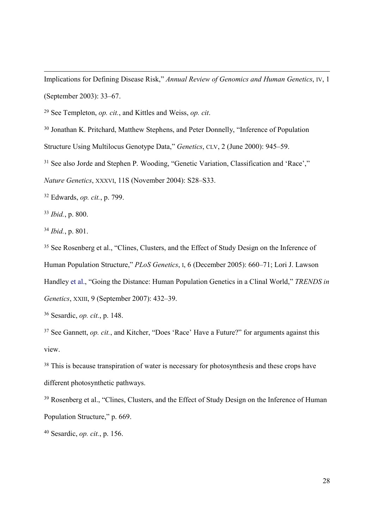Implications for Defining Disease Risk," *Annual Review of Genomics and Human Genetics*, IV, 1 (September 2003): 33–67.

<sup>29</sup> See Templeton, *op. cit.*, and Kittles and Weiss, *op. cit*.

<sup>30</sup> Jonathan K. Pritchard, Matthew Stephens, and Peter Donnelly, "Inference of Population

Structure Using Multilocus Genotype Data," *Genetics*, CLV, 2 (June 2000): 945–59.

<sup>31</sup> See also Jorde and Stephen P. Wooding, "Genetic Variation, Classification and 'Race',"

*Nature Genetics*, XXXVI, 11S (November 2004): S28–S33.

<sup>32</sup> Edwards, *op. cit.*, p. 799.

<sup>33</sup> *Ibid.*, p. 800.

-

<sup>34</sup> *Ibid.*, p. 801.

<sup>35</sup> See Rosenberg et al., "Clines, Clusters, and the Effect of Study Design on the Inference of Human Population Structure," *PLoS Genetics*, I, 6 (December 2005): 660–71; Lori J. Lawson Handley et al., "Going the Distance: Human Population Genetics in a Clinal World," *TRENDS in Genetics*, XXIII, 9 (September 2007): 432–39.

<sup>36</sup> Sesardic, *op. cit.*, p. 148.

<sup>37</sup> See Gannett, *op. cit.*, and Kitcher, "Does 'Race' Have a Future?" for arguments against this view.

<sup>38</sup> This is because transpiration of water is necessary for photosynthesis and these crops have different photosynthetic pathways.

<sup>39</sup> Rosenberg et al., "Clines, Clusters, and the Effect of Study Design on the Inference of Human Population Structure," p. 669.

40 Sesardic, *op. cit.*, p. 156.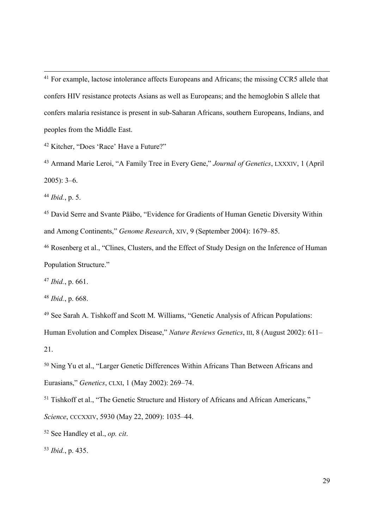<sup>41</sup> For example, lactose intolerance affects Europeans and Africans; the missing CCR5 allele that confers HIV resistance protects Asians as well as Europeans; and the hemoglobin S allele that confers malaria resistance is present in sub-Saharan Africans, southern Europeans, Indians, and peoples from the Middle East.

<sup>42</sup> Kitcher, "Does 'Race' Have a Future?"

<sup>43</sup> Armand Marie Leroi, "A Family Tree in Every Gene," *Journal of Genetics*, LXXXIV, 1 (April 2005): 3–6.

<sup>44</sup> *Ibid.*, p. 5.

-

<sup>45</sup> David Serre and Svante Pääbo, "Evidence for Gradients of Human Genetic Diversity Within and Among Continents," *Genome Research*, XIV, 9 (September 2004): 1679–85.

<sup>46</sup> Rosenberg et al., "Clines, Clusters, and the Effect of Study Design on the Inference of Human Population Structure."

<sup>47</sup> *Ibid.*, p. 661.

<sup>48</sup> *Ibid.*, p. 668.

<sup>49</sup> See Sarah A. Tishkoff and Scott M. Williams, "Genetic Analysis of African Populations: Human Evolution and Complex Disease," *Nature Reviews Genetics*, III, 8 (August 2002): 611– 21.

<sup>50</sup> Ning Yu et al., "Larger Genetic Differences Within Africans Than Between Africans and Eurasians," *Genetics*, CLXI, 1 (May 2002): 269–74.

<sup>51</sup> Tishkoff et al., "The Genetic Structure and History of Africans and African Americans," *Science*, CCCXXIV, 5930 (May 22, 2009): 1035–44.

<sup>52</sup> See Handley et al., *op. cit*.

<sup>53</sup> *Ibid.*, p. 435.